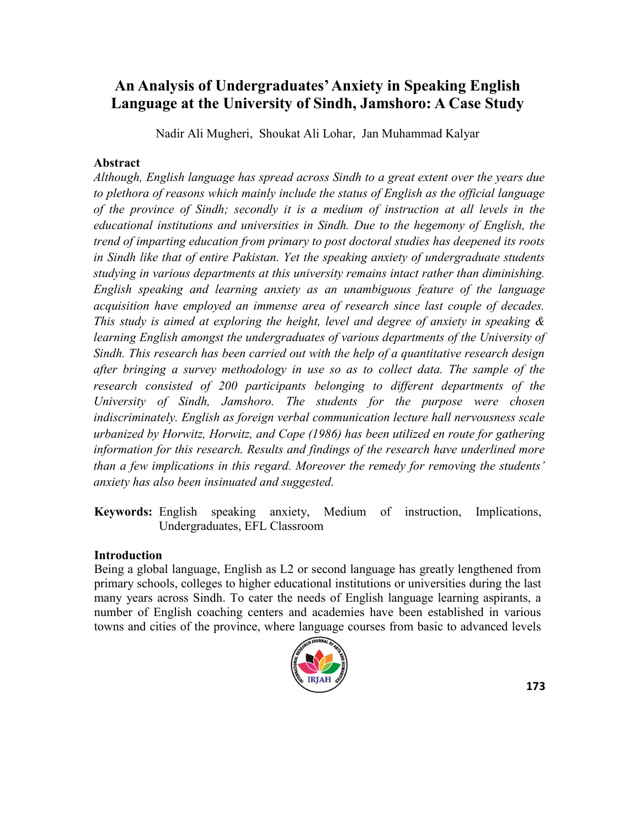# **An Analysis of Undergraduates' Anxiety in Speaking English Language at the University of Sindh, Jamshoro: A Case Study**

Nadir Ali Mugheri, Shoukat Ali Lohar, Jan Muhammad Kalyar

#### **Abstract**

*Although, English language has spread across Sindh to a great extent over the years due to plethora of reasons which mainly include the status of English as the official language of the province of Sindh; secondly it is a medium of instruction at all levels in the educational institutions and universities in Sindh. Due to the hegemony of English, the trend of imparting education from primary to post doctoral studies has deepened its roots in Sindh like that of entire Pakistan. Yet the speaking anxiety of undergraduate students studying in various departments at this university remains intact rather than diminishing. English speaking and learning anxiety as an unambiguous feature of the language acquisition have employed an immense area of research since last couple of decades. This study is aimed at exploring the height, level and degree of anxiety in speaking & learning English amongst the undergraduates of various departments of the University of Sindh. This research has been carried out with the help of a quantitative research design after bringing a survey methodology in use so as to collect data. The sample of the research consisted of 200 participants belonging to different departments of the University of Sindh, Jamshoro. The students for the purpose were chosen indiscriminately. English as foreign verbal communication lecture hall nervousness scale urbanized by Horwitz, Horwitz, and Cope (1986) has been utilized en route for gathering information for this research. Results and findings of the research have underlined more than a few implications in this regard. Moreover the remedy for removing the students' anxiety has also been insinuated and suggested.*

**Keywords:** English speaking anxiety, Medium of instruction, Implications, Undergraduates, EFL Classroom

#### **Introduction**

Being a global language, English as L2 or second language has greatly lengthened from primary schools, colleges to higher educational institutions or universities during the last many years across Sindh. To cater the needs of English language learning aspirants, a number of English coaching centers and academies have been established in various towns and cities of the province, where language courses from basic to advanced levels

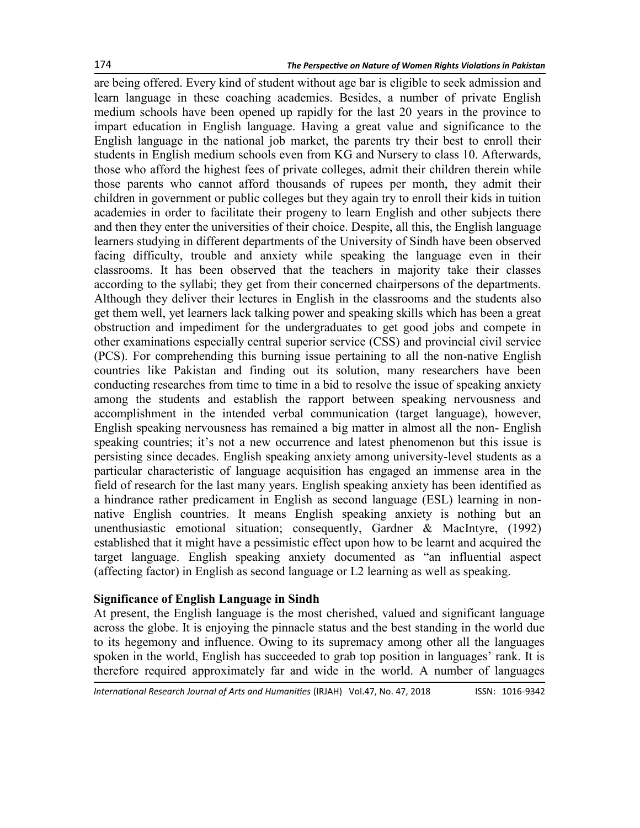are being offered. Every kind of student without age bar is eligible to seek admission and learn language in these coaching academies. Besides, a number of private English medium schools have been opened up rapidly for the last 20 years in the province to impart education in English language. Having a great value and significance to the English language in the national job market, the parents try their best to enroll their students in English medium schools even from KG and Nursery to class 10. Afterwards, those who afford the highest fees of private colleges, admit their children therein while those parents who cannot afford thousands of rupees per month, they admit their children in government or public colleges but they again try to enroll their kids in tuition academies in order to facilitate their progeny to learn English and other subjects there and then they enter the universities of their choice. Despite, all this, the English language learners studying in different departments of the University of Sindh have been observed facing difficulty, trouble and anxiety while speaking the language even in their classrooms. It has been observed that the teachers in majority take their classes according to the syllabi; they get from their concerned chairpersons of the departments. Although they deliver their lectures in English in the classrooms and the students also get them well, yet learners lack talking power and speaking skills which has been a great obstruction and impediment for the undergraduates to get good jobs and compete in other examinations especially central superior service (CSS) and provincial civil service (PCS). For comprehending this burning issue pertaining to all the non-native English countries like Pakistan and finding out its solution, many researchers have been conducting researches from time to time in a bid to resolve the issue of speaking anxiety among the students and establish the rapport between speaking nervousness and accomplishment in the intended verbal communication (target language), however, English speaking nervousness has remained a big matter in almost all the non- English speaking countries; it's not a new occurrence and latest phenomenon but this issue is persisting since decades. English speaking anxiety among university-level students as a particular characteristic of language acquisition has engaged an immense area in the field of research for the last many years. English speaking anxiety has been identified as a hindrance rather predicament in English as second language (ESL) learning in nonnative English countries. It means English speaking anxiety is nothing but an unenthusiastic emotional situation; consequently, Gardner & MacIntyre, (1992) established that it might have a pessimistic effect upon how to be learnt and acquired the target language. English speaking anxiety documented as "an influential aspect (affecting factor) in English as second language or L2 learning as well as speaking.

#### **Significance of English Language in Sindh**

At present, the English language is the most cherished, valued and significant language across the globe. It is enjoying the pinnacle status and the best standing in the world due to its hegemony and influence. Owing to its supremacy among other all the languages spoken in the world, English has succeeded to grab top position in languages' rank. It is therefore required approximately far and wide in the world. A number of languages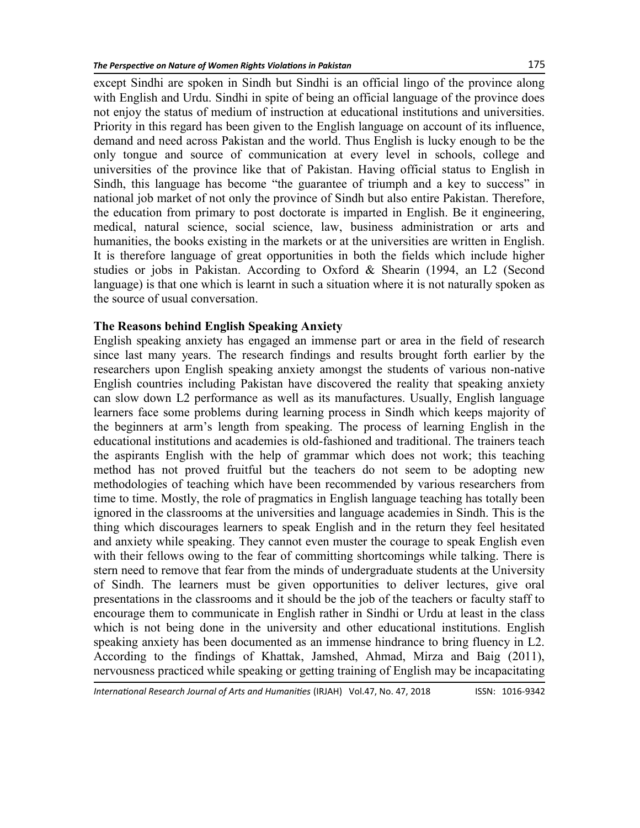except Sindhi are spoken in Sindh but Sindhi is an official lingo of the province along with English and Urdu. Sindhi in spite of being an official language of the province does not enjoy the status of medium of instruction at educational institutions and universities. Priority in this regard has been given to the English language on account of its influence, demand and need across Pakistan and the world. Thus English is lucky enough to be the only tongue and source of communication at every level in schools, college and universities of the province like that of Pakistan. Having official status to English in Sindh, this language has become "the guarantee of triumph and a key to success" in national job market of not only the province of Sindh but also entire Pakistan. Therefore, the education from primary to post doctorate is imparted in English. Be it engineering, medical, natural science, social science, law, business administration or arts and humanities, the books existing in the markets or at the universities are written in English. It is therefore language of great opportunities in both the fields which include higher studies or jobs in Pakistan. According to Oxford & Shearin (1994, an L2 (Second language) is that one which is learnt in such a situation where it is not naturally spoken as the source of usual conversation.

#### **The Reasons behind English Speaking Anxiety**

English speaking anxiety has engaged an immense part or area in the field of research since last many years. The research findings and results brought forth earlier by the researchers upon English speaking anxiety amongst the students of various non-native English countries including Pakistan have discovered the reality that speaking anxiety can slow down L2 performance as well as its manufactures. Usually, English language learners face some problems during learning process in Sindh which keeps majority of the beginners at arm's length from speaking. The process of learning English in the educational institutions and academies is old-fashioned and traditional. The trainers teach the aspirants English with the help of grammar which does not work; this teaching method has not proved fruitful but the teachers do not seem to be adopting new methodologies of teaching which have been recommended by various researchers from time to time. Mostly, the role of pragmatics in English language teaching has totally been ignored in the classrooms at the universities and language academies in Sindh. This is the thing which discourages learners to speak English and in the return they feel hesitated and anxiety while speaking. They cannot even muster the courage to speak English even with their fellows owing to the fear of committing shortcomings while talking. There is stern need to remove that fear from the minds of undergraduate students at the University of Sindh. The learners must be given opportunities to deliver lectures, give oral presentations in the classrooms and it should be the job of the teachers or faculty staff to encourage them to communicate in English rather in Sindhi or Urdu at least in the class which is not being done in the university and other educational institutions. English speaking anxiety has been documented as an immense hindrance to bring fluency in L2. According to the findings of Khattak, Jamshed, Ahmad, Mirza and Baig (2011), nervousness practiced while speaking or getting training of English may be incapacitating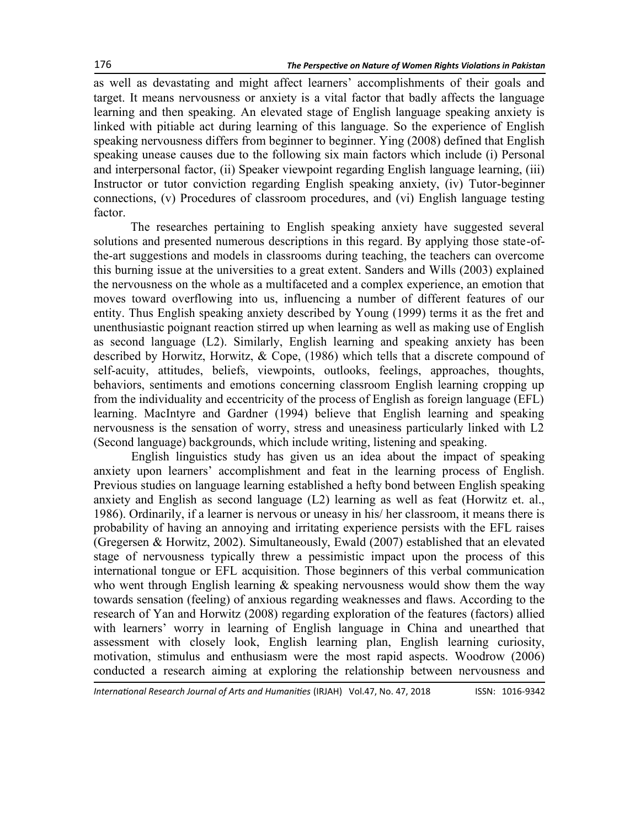as well as devastating and might affect learners' accomplishments of their goals and target. It means nervousness or anxiety is a vital factor that badly affects the language learning and then speaking. An elevated stage of English language speaking anxiety is linked with pitiable act during learning of this language. So the experience of English speaking nervousness differs from beginner to beginner. Ying (2008) defined that English speaking unease causes due to the following six main factors which include (i) Personal and interpersonal factor, (ii) Speaker viewpoint regarding English language learning, (iii) Instructor or tutor conviction regarding English speaking anxiety, (iv) Tutor-beginner connections, (v) Procedures of classroom procedures, and (vi) English language testing factor.

The researches pertaining to English speaking anxiety have suggested several solutions and presented numerous descriptions in this regard. By applying those state-ofthe-art suggestions and models in classrooms during teaching, the teachers can overcome this burning issue at the universities to a great extent. Sanders and Wills (2003) explained the nervousness on the whole as a multifaceted and a complex experience, an emotion that moves toward overflowing into us, influencing a number of different features of our entity. Thus English speaking anxiety described by Young (1999) terms it as the fret and unenthusiastic poignant reaction stirred up when learning as well as making use of English as second language (L2). Similarly, English learning and speaking anxiety has been described by Horwitz, Horwitz, & Cope, (1986) which tells that a discrete compound of self-acuity, attitudes, beliefs, viewpoints, outlooks, feelings, approaches, thoughts, behaviors, sentiments and emotions concerning classroom English learning cropping up from the individuality and eccentricity of the process of English as foreign language (EFL) learning. MacIntyre and Gardner (1994) believe that English learning and speaking nervousness is the sensation of worry, stress and uneasiness particularly linked with L2 (Second language) backgrounds, which include writing, listening and speaking.

English linguistics study has given us an idea about the impact of speaking anxiety upon learners' accomplishment and feat in the learning process of English. Previous studies on language learning established a hefty bond between English speaking anxiety and English as second language (L2) learning as well as feat (Horwitz et. al., 1986). Ordinarily, if a learner is nervous or uneasy in his/ her classroom, it means there is probability of having an annoying and irritating experience persists with the EFL raises (Gregersen & Horwitz, 2002). Simultaneously, Ewald (2007) established that an elevated stage of nervousness typically threw a pessimistic impact upon the process of this international tongue or EFL acquisition. Those beginners of this verbal communication who went through English learning  $\&$  speaking nervousness would show them the way towards sensation (feeling) of anxious regarding weaknesses and flaws. According to the research of Yan and Horwitz (2008) regarding exploration of the features (factors) allied with learners' worry in learning of English language in China and unearthed that assessment with closely look, English learning plan, English learning curiosity, motivation, stimulus and enthusiasm were the most rapid aspects. Woodrow (2006) conducted a research aiming at exploring the relationship between nervousness and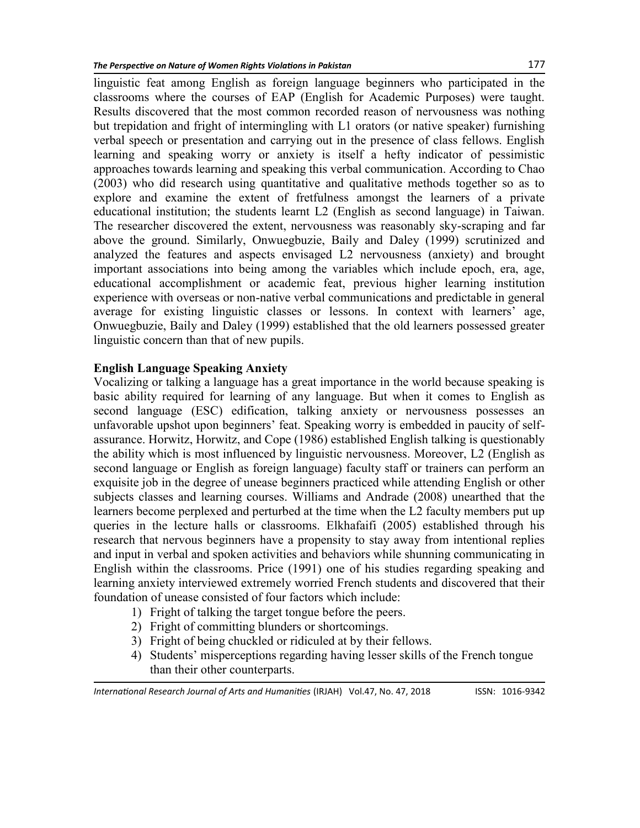linguistic feat among English as foreign language beginners who participated in the classrooms where the courses of EAP (English for Academic Purposes) were taught. Results discovered that the most common recorded reason of nervousness was nothing but trepidation and fright of intermingling with L1 orators (or native speaker) furnishing verbal speech or presentation and carrying out in the presence of class fellows. English learning and speaking worry or anxiety is itself a hefty indicator of pessimistic approaches towards learning and speaking this verbal communication. According to Chao (2003) who did research using quantitative and qualitative methods together so as to explore and examine the extent of fretfulness amongst the learners of a private educational institution; the students learnt L2 (English as second language) in Taiwan. The researcher discovered the extent, nervousness was reasonably sky-scraping and far above the ground. Similarly, Onwuegbuzie, Baily and Daley (1999) scrutinized and analyzed the features and aspects envisaged L2 nervousness (anxiety) and brought important associations into being among the variables which include epoch, era, age, educational accomplishment or academic feat, previous higher learning institution experience with overseas or non-native verbal communications and predictable in general average for existing linguistic classes or lessons. In context with learners' age, Onwuegbuzie, Baily and Daley (1999) established that the old learners possessed greater linguistic concern than that of new pupils.

#### **English Language Speaking Anxiety**

Vocalizing or talking a language has a great importance in the world because speaking is basic ability required for learning of any language. But when it comes to English as second language (ESC) edification, talking anxiety or nervousness possesses an unfavorable upshot upon beginners' feat. Speaking worry is embedded in paucity of selfassurance. Horwitz, Horwitz, and Cope (1986) established English talking is questionably the ability which is most influenced by linguistic nervousness. Moreover, L2 (English as second language or English as foreign language) faculty staff or trainers can perform an exquisite job in the degree of unease beginners practiced while attending English or other subjects classes and learning courses. Williams and Andrade (2008) unearthed that the learners become perplexed and perturbed at the time when the L2 faculty members put up queries in the lecture halls or classrooms. Elkhafaifi (2005) established through his research that nervous beginners have a propensity to stay away from intentional replies and input in verbal and spoken activities and behaviors while shunning communicating in English within the classrooms. Price (1991) one of his studies regarding speaking and learning anxiety interviewed extremely worried French students and discovered that their foundation of unease consisted of four factors which include:

- 1) Fright of talking the target tongue before the peers.
- 2) Fright of committing blunders or shortcomings.
- 3) Fright of being chuckled or ridiculed at by their fellows.
- 4) Students' misperceptions regarding having lesser skills of the French tongue than their other counterparts.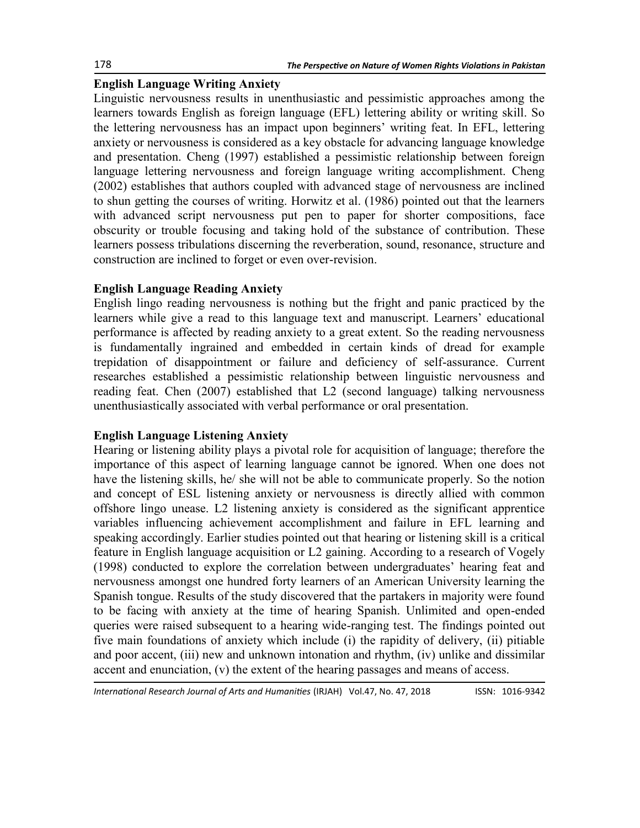### **English Language Writing Anxiety**

Linguistic nervousness results in unenthusiastic and pessimistic approaches among the learners towards English as foreign language (EFL) lettering ability or writing skill. So the lettering nervousness has an impact upon beginners' writing feat. In EFL, lettering anxiety or nervousness is considered as a key obstacle for advancing language knowledge and presentation. Cheng (1997) established a pessimistic relationship between foreign language lettering nervousness and foreign language writing accomplishment. Cheng (2002) establishes that authors coupled with advanced stage of nervousness are inclined to shun getting the courses of writing. Horwitz et al. (1986) pointed out that the learners with advanced script nervousness put pen to paper for shorter compositions, face obscurity or trouble focusing and taking hold of the substance of contribution. These learners possess tribulations discerning the reverberation, sound, resonance, structure and construction are inclined to forget or even over-revision.

### **English Language Reading Anxiety**

English lingo reading nervousness is nothing but the fright and panic practiced by the learners while give a read to this language text and manuscript. Learners' educational performance is affected by reading anxiety to a great extent. So the reading nervousness is fundamentally ingrained and embedded in certain kinds of dread for example trepidation of disappointment or failure and deficiency of self-assurance. Current researches established a pessimistic relationship between linguistic nervousness and reading feat. Chen (2007) established that L2 (second language) talking nervousness unenthusiastically associated with verbal performance or oral presentation.

## **English Language Listening Anxiety**

Hearing or listening ability plays a pivotal role for acquisition of language; therefore the importance of this aspect of learning language cannot be ignored. When one does not have the listening skills, he/ she will not be able to communicate properly. So the notion and concept of ESL listening anxiety or nervousness is directly allied with common offshore lingo unease. L2 listening anxiety is considered as the significant apprentice variables influencing achievement accomplishment and failure in EFL learning and speaking accordingly. Earlier studies pointed out that hearing or listening skill is a critical feature in English language acquisition or L2 gaining. According to a research of Vogely (1998) conducted to explore the correlation between undergraduates' hearing feat and nervousness amongst one hundred forty learners of an American University learning the Spanish tongue. Results of the study discovered that the partakers in majority were found to be facing with anxiety at the time of hearing Spanish. Unlimited and open-ended queries were raised subsequent to a hearing wide-ranging test. The findings pointed out five main foundations of anxiety which include (i) the rapidity of delivery, (ii) pitiable and poor accent, (iii) new and unknown intonation and rhythm, (iv) unlike and dissimilar accent and enunciation, (v) the extent of the hearing passages and means of access.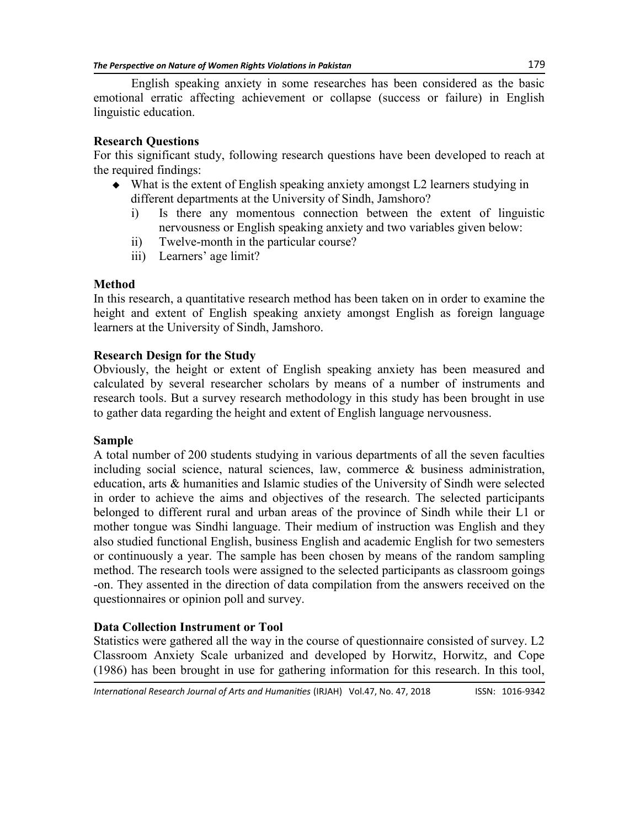English speaking anxiety in some researches has been considered as the basic emotional erratic affecting achievement or collapse (success or failure) in English linguistic education.

#### **Research Questions**

For this significant study, following research questions have been developed to reach at the required findings:

- What is the extent of English speaking anxiety amongst L2 learners studying in different departments at the University of Sindh, Jamshoro?
	- i) Is there any momentous connection between the extent of linguistic nervousness or English speaking anxiety and two variables given below:
	- ii) Twelve-month in the particular course?
	- iii) Learners' age limit?

#### **Method**

In this research, a quantitative research method has been taken on in order to examine the height and extent of English speaking anxiety amongst English as foreign language learners at the University of Sindh, Jamshoro.

#### **Research Design for the Study**

Obviously, the height or extent of English speaking anxiety has been measured and calculated by several researcher scholars by means of a number of instruments and research tools. But a survey research methodology in this study has been brought in use to gather data regarding the height and extent of English language nervousness.

#### **Sample**

A total number of 200 students studying in various departments of all the seven faculties including social science, natural sciences, law, commerce & business administration, education, arts & humanities and Islamic studies of the University of Sindh were selected in order to achieve the aims and objectives of the research. The selected participants belonged to different rural and urban areas of the province of Sindh while their L1 or mother tongue was Sindhi language. Their medium of instruction was English and they also studied functional English, business English and academic English for two semesters or continuously a year. The sample has been chosen by means of the random sampling method. The research tools were assigned to the selected participants as classroom goings -on. They assented in the direction of data compilation from the answers received on the questionnaires or opinion poll and survey.

## **Data Collection Instrument or Tool**

Statistics were gathered all the way in the course of questionnaire consisted of survey. L2 Classroom Anxiety Scale urbanized and developed by Horwitz, Horwitz, and Cope (1986) has been brought in use for gathering information for this research. In this tool,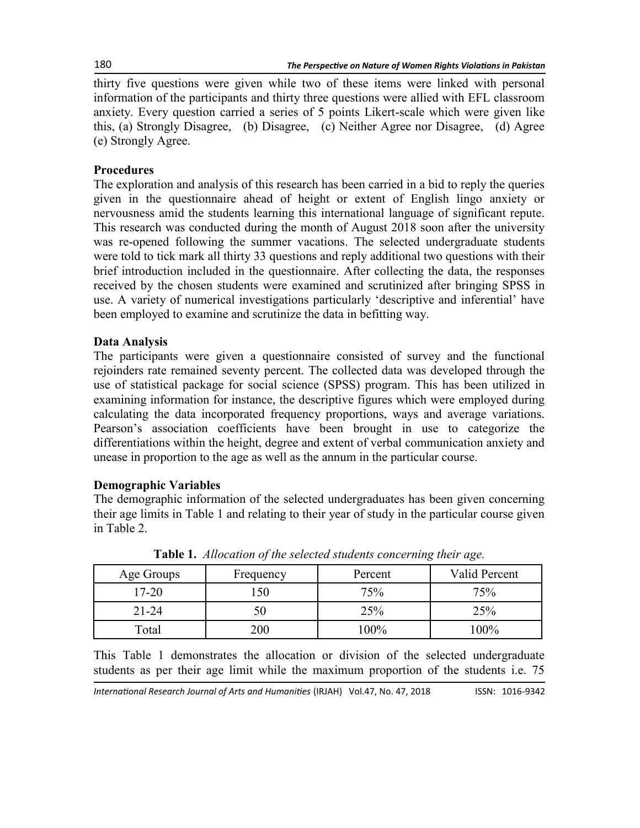thirty five questions were given while two of these items were linked with personal information of the participants and thirty three questions were allied with EFL classroom anxiety. Every question carried a series of 5 points Likert-scale which were given like this, (a) Strongly Disagree, (b) Disagree, (c) Neither Agree nor Disagree, (d) Agree (e) Strongly Agree.

### **Procedures**

The exploration and analysis of this research has been carried in a bid to reply the queries given in the questionnaire ahead of height or extent of English lingo anxiety or nervousness amid the students learning this international language of significant repute. This research was conducted during the month of August 2018 soon after the university was re-opened following the summer vacations. The selected undergraduate students were told to tick mark all thirty 33 questions and reply additional two questions with their brief introduction included in the questionnaire. After collecting the data, the responses received by the chosen students were examined and scrutinized after bringing SPSS in use. A variety of numerical investigations particularly ‗descriptive and inferential' have been employed to examine and scrutinize the data in befitting way.

### **Data Analysis**

The participants were given a questionnaire consisted of survey and the functional rejoinders rate remained seventy percent. The collected data was developed through the use of statistical package for social science (SPSS) program. This has been utilized in examining information for instance, the descriptive figures which were employed during calculating the data incorporated frequency proportions, ways and average variations. Pearson's association coefficients have been brought in use to categorize the differentiations within the height, degree and extent of verbal communication anxiety and unease in proportion to the age as well as the annum in the particular course.

#### **Demographic Variables**

The demographic information of the selected undergraduates has been given concerning their age limits in Table 1 and relating to their year of study in the particular course given in Table 2.

| Age Groups | Frequency | Percent | Valid Percent |
|------------|-----------|---------|---------------|
| 17-20      | 50        | 75%     | 75%           |
| $21 - 24$  |           | 25%     | 25%           |
| Total      | 200       | 100%    | 100%          |

**Table 1.** *Allocation of the selected students concerning their age.*

This Table 1 demonstrates the allocation or division of the selected undergraduate students as per their age limit while the maximum proportion of the students i.e. 75

*International Research Journal of Arts and Humanities* (IRJAH) Vol.47, No. 47, 2018 **ISSN: 1016-9342**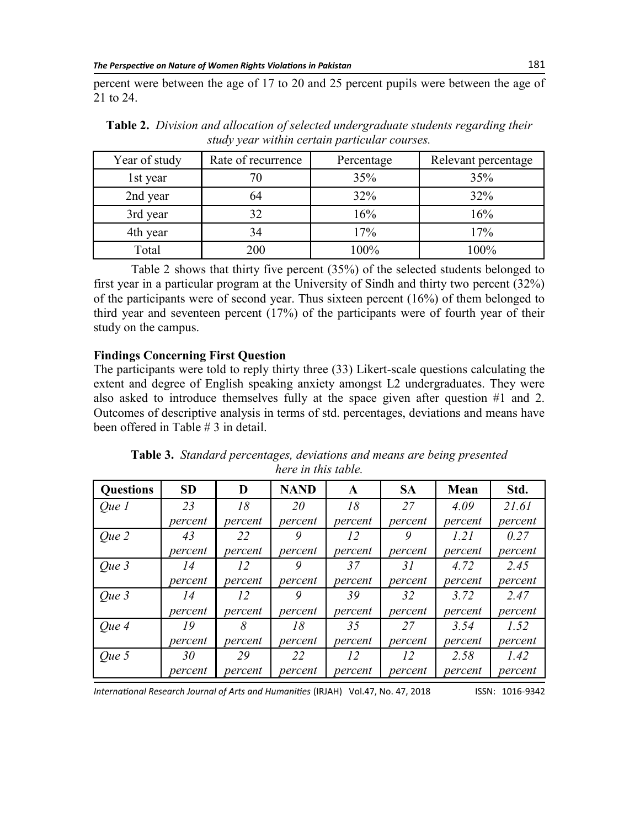percent were between the age of 17 to 20 and 25 percent pupils were between the age of 21 to 24.

| Year of study | Rate of recurrence | Percentage | Relevant percentage |
|---------------|--------------------|------------|---------------------|
| 1st year      |                    | 35%        | 35%                 |
| 2nd year      | 64                 | 32%        | 32%                 |
| 3rd year      | 32                 | 16%        | 16%                 |
| 4th year      | 34                 | 17%        | 17%                 |
| Total         | 200                | 100%       | 100%                |

**Table 2.** *Division and allocation of selected undergraduate students regarding their study year within certain particular courses.*

Table 2 shows that thirty five percent (35%) of the selected students belonged to first year in a particular program at the University of Sindh and thirty two percent (32%) of the participants were of second year. Thus sixteen percent (16%) of them belonged to third year and seventeen percent (17%) of the participants were of fourth year of their study on the campus.

#### **Findings Concerning First Question**

The participants were told to reply thirty three (33) Likert-scale questions calculating the extent and degree of English speaking anxiety amongst L2 undergraduates. They were also asked to introduce themselves fully at the space given after question #1 and 2. Outcomes of descriptive analysis in terms of std. percentages, deviations and means have been offered in Table # 3 in detail.

| <b>Questions</b> | <b>SD</b> | D       | <b>NAND</b> | A       | <b>SA</b> | Mean    | Std.    |
|------------------|-----------|---------|-------------|---------|-----------|---------|---------|
| Que 1            | 23        | 18      | 20          | 18      | 27        | 4.09    | 21.61   |
|                  | percent   | percent | percent     | percent | percent   | percent | percent |
| Que 2            | 43        | 22      | 9           | 12      | 9         | 1.21    | 0.27    |
|                  | percent   | percent | percent     | percent | percent   | percent | percent |
| Que 3            | 14        | 12      | 9           | 37      | 31        | 4.72    | 2.45    |
|                  | percent   | percent | percent     | percent | percent   | percent | percent |
| Que 3            | 14        | 12      | 9           | 39      | 32        | 3.72    | 2.47    |
|                  | percent   | percent | percent     | percent | percent   | percent | percent |
| Que 4            | 19        | 8       | 18          | 35      | 27        | 3.54    | 1.52    |
|                  | percent   | percent | percent     | percent | percent   | percent | percent |
| Que 5            | 30        | 29      | 22          | 12      | 12        | 2.58    | 1.42    |
|                  | percent   | percent | percent     | percent | percent   | percent | percent |

| Table 3. Standard percentages, deviations and means are being presented |                     |  |  |
|-------------------------------------------------------------------------|---------------------|--|--|
|                                                                         | here in this table. |  |  |

*International Research Journal of Arts and Humanities* (IRJAH) Vol.47, No. 47, 2018 **ISSN: 1016-9342**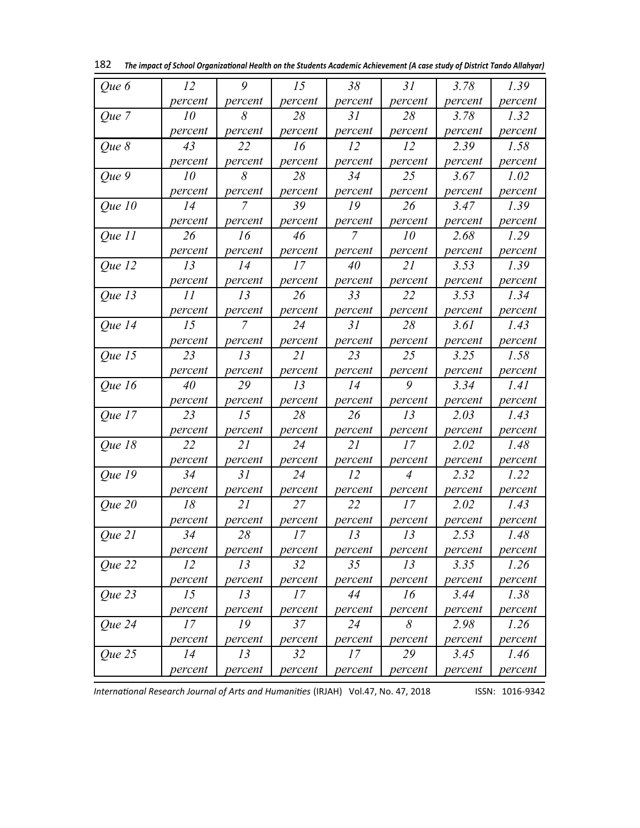| Que 6                       | 12      | 9              | 15      | 38      | 31             | 3.78    | 1.39    |
|-----------------------------|---------|----------------|---------|---------|----------------|---------|---------|
|                             | percent | percent        | percent | percent | percent        | percent | percent |
| Que 7                       | 10      | 8              | 28      | 31      | 28             | 3.78    | 1.32    |
|                             | percent | percent        | percent | percent | percent        | percent | percent |
| Que 8                       | 43      | 22             | 16      | 12      | 12             | 2.39    | 1.58    |
|                             | percent | percent        | percent | percent | percent        | percent | percent |
| Que 9                       | 10      | 8              | 28      | 34      | 25             | 3.67    | 1.02    |
|                             | percent | percent        | percent | percent | percent        | percent | percent |
| Que 10                      | 14      | $\overline{7}$ | 39      | 19      | 26             | 3.47    | 1.39    |
|                             | percent | percent        | percent | percent | percent        | percent | percent |
| Que 11                      | 26      | 16             | 46      | 7       | 10             | 2.68    | 1.29    |
|                             | percent | percent        | percent | percent | percent        | percent | percent |
| Que 12                      | 13      | 14             | 17      | 40      | 21             | 3.53    | 1.39    |
|                             | percent | percent        | percent | percent | percent        | percent | percent |
| Que 13                      | 11      | 13             | 26      | 33      | 22             | 3.53    | 1.34    |
|                             | percent | percent        | percent | percent | percent        | percent | percent |
| <i><u>Oue 14</u></i>        | 15      | 7              | 24      | 31      | 28             | 3.61    | 1.43    |
|                             | percent | percent        | percent | percent | percent        | percent | percent |
| Que 15                      | 23      | 13             | 21      | 23      | 25             | 3.25    | 1.58    |
|                             | percent | percent        | percent | percent | percent        | percent | percent |
| Que $16$                    | 40      | 29             | 13      | 14      | 9              | 3.34    | 1.41    |
|                             | percent | percent        | percent | percent | percent        | percent | percent |
| Que 17                      | 23      | 15             | 28      | 26      | 13             | 2.03    | 1.43    |
|                             | percent | percent        | percent | percent | percent        | percent | percent |
| Que 18                      | 22      | 21             | 24      | 21      | 17             | 2.02    | 1.48    |
|                             | percent | percent        | percent | percent | percent        | percent | percent |
| <i><u><b>Que 19</b></u></i> | 34      | 31             | 24      | 12      | $\overline{4}$ | 2.32    | 1.22    |
|                             | percent | percent        | percent | percent | percent        | percent | percent |
| $Que$ 20                    | 18      | 21             | 27      | 22      | 17             | 2.02    | 1.43    |
|                             | percent | percent        | percent | percent | percent        | percent | percent |
| Oue 21                      | 34      | 28             | 17      | 13      | 13             | 2.53    | 1.48    |
|                             | percent | percent        | percent | percent | percent        | percent | percent |
| Que 22                      | 12      | 13             | 32      | 35      | 13             | 3.35    | 1.26    |
|                             | percent | percent        | percent | percent | percent        | percent | percent |
| Que 23                      | 15      | 13             | 17      | 44      | 16             | 3.44    | 1.38    |
|                             | percent | percent        | percent | percent | percent        | percent | percent |
| Que 24                      | 17      | 19             | 37      | 24      | 8              | 2.98    | 1.26    |
|                             | percent | percent        | percent | percent | percent        | percent | percent |
| Que 25                      | 14      | 13             | 32      | 17      | 29             | 3.45    | 1.46    |
|                             | percent | percent        | percent | percent | percent        | percent | percent |

182 *The impact of School Organizational Health on the Students Academic Achievement (A case study of District Tando Allahyar)*

*International Research Journal of Arts and Humanities* (IRJAH) Vol.47, No. 47, 2018 **ISSN: 1016-9342**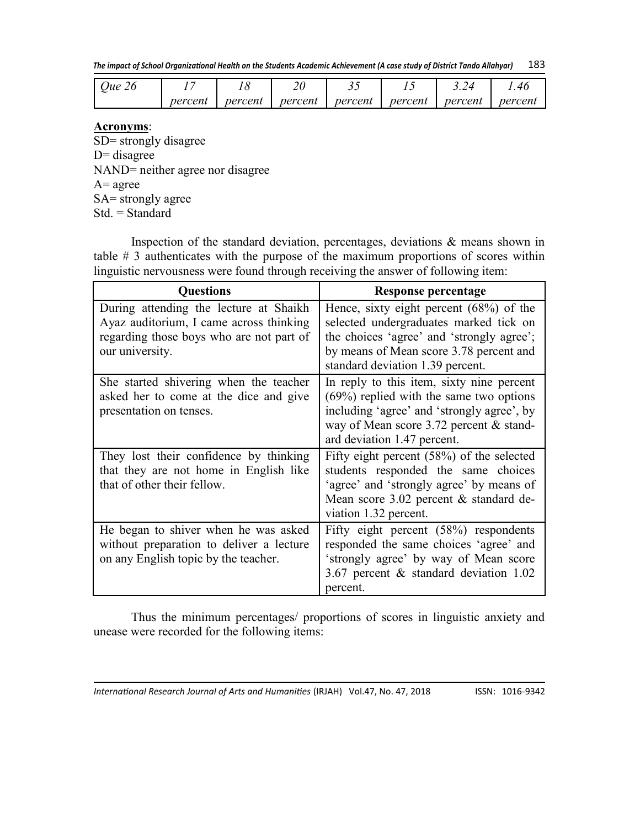| Oue 26 |         |         | າທ<br>∠∪ | ~~      |         |         |         |
|--------|---------|---------|----------|---------|---------|---------|---------|
|        | percent | percent | percent  | percent | percent | percent | percent |

#### **Acronyms**:

SD= strongly disagree  $D=$  disagree NAND= neither agree nor disagree  $A = \text{agree}$ SA= strongly agree Std. = Standard

Inspection of the standard deviation, percentages, deviations  $\&$  means shown in table # 3 authenticates with the purpose of the maximum proportions of scores within linguistic nervousness were found through receiving the answer of following item:

| <b>Questions</b>                                                                                                                                 | Response percentage                                                                                                                                                                                             |
|--------------------------------------------------------------------------------------------------------------------------------------------------|-----------------------------------------------------------------------------------------------------------------------------------------------------------------------------------------------------------------|
| During attending the lecture at Shaikh<br>Ayaz auditorium, I came across thinking<br>regarding those boys who are not part of<br>our university. | Hence, sixty eight percent $(68%)$ of the<br>selected undergraduates marked tick on<br>the choices 'agree' and 'strongly agree';<br>by means of Mean score 3.78 percent and<br>standard deviation 1.39 percent. |
| She started shivering when the teacher<br>asked her to come at the dice and give<br>presentation on tenses.                                      | In reply to this item, sixty nine percent<br>$(69\%)$ replied with the same two options<br>including 'agree' and 'strongly agree', by<br>way of Mean score 3.72 percent & stand-<br>ard deviation 1.47 percent. |
| They lost their confidence by thinking<br>that they are not home in English like<br>that of other their fellow.                                  | Fifty eight percent $(58%)$ of the selected<br>students responded the same choices<br>'agree' and 'strongly agree' by means of<br>Mean score 3.02 percent & standard de-<br>viation 1.32 percent.               |
| He began to shiver when he was asked<br>without preparation to deliver a lecture<br>on any English topic by the teacher.                         | Fifty eight percent $(58%)$ respondents<br>responded the same choices 'agree' and<br>'strongly agree' by way of Mean score<br>3.67 percent $\&$ standard deviation 1.02<br>percent.                             |

Thus the minimum percentages/ proportions of scores in linguistic anxiety and unease were recorded for the following items: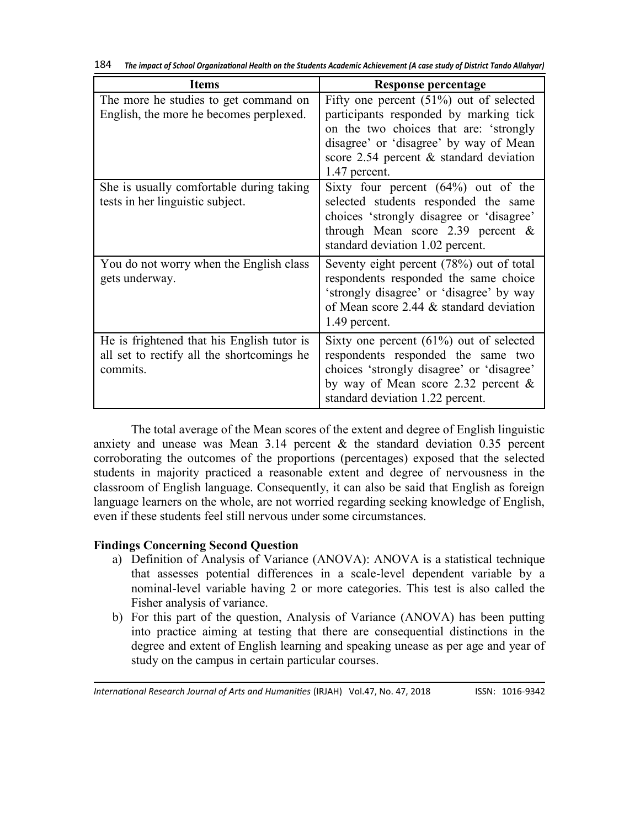| <b>Items</b>                                                                                         | <b>Response percentage</b>                                                                                                                                                                                                             |
|------------------------------------------------------------------------------------------------------|----------------------------------------------------------------------------------------------------------------------------------------------------------------------------------------------------------------------------------------|
| The more he studies to get command on<br>English, the more he becomes perplexed.                     | Fifty one percent $(51\%)$ out of selected<br>participants responded by marking tick<br>on the two choices that are: 'strongly<br>disagree' or 'disagree' by way of Mean<br>score $2.54$ percent & standard deviation<br>1.47 percent. |
| She is usually comfortable during taking<br>tests in her linguistic subject.                         | Sixty four percent $(64%)$ out of the<br>selected students responded the same<br>choices 'strongly disagree or 'disagree'<br>through Mean score 2.39 percent $\&$<br>standard deviation 1.02 percent.                                  |
| You do not worry when the English class<br>gets underway.                                            | Seventy eight percent (78%) out of total<br>respondents responded the same choice<br>'strongly disagree' or 'disagree' by way<br>of Mean score 2.44 & standard deviation<br>1.49 percent.                                              |
| He is frightened that his English tutor is<br>all set to rectify all the shortcomings he<br>commits. | Sixty one percent $(61\%)$ out of selected<br>respondents responded the same two<br>choices 'strongly disagree' or 'disagree'<br>by way of Mean score 2.32 percent $\&$<br>standard deviation 1.22 percent.                            |

| 184 |  | The impact of School Organizational Health on the Students Academic Achievement (A case study of District Tando Allahyar) |
|-----|--|---------------------------------------------------------------------------------------------------------------------------|
|-----|--|---------------------------------------------------------------------------------------------------------------------------|

The total average of the Mean scores of the extent and degree of English linguistic anxiety and unease was Mean 3.14 percent  $\&$  the standard deviation 0.35 percent corroborating the outcomes of the proportions (percentages) exposed that the selected students in majority practiced a reasonable extent and degree of nervousness in the classroom of English language. Consequently, it can also be said that English as foreign language learners on the whole, are not worried regarding seeking knowledge of English, even if these students feel still nervous under some circumstances.

#### **Findings Concerning Second Question**

- a) Definition of Analysis of Variance (ANOVA): ANOVA is a statistical technique that assesses potential differences in a scale-level dependent variable by a nominal-level variable having 2 or more categories. This test is also called the Fisher analysis of variance.
- b) For this part of the question, Analysis of Variance (ANOVA) has been putting into practice aiming at testing that there are consequential distinctions in the degree and extent of English learning and speaking unease as per age and year of study on the campus in certain particular courses.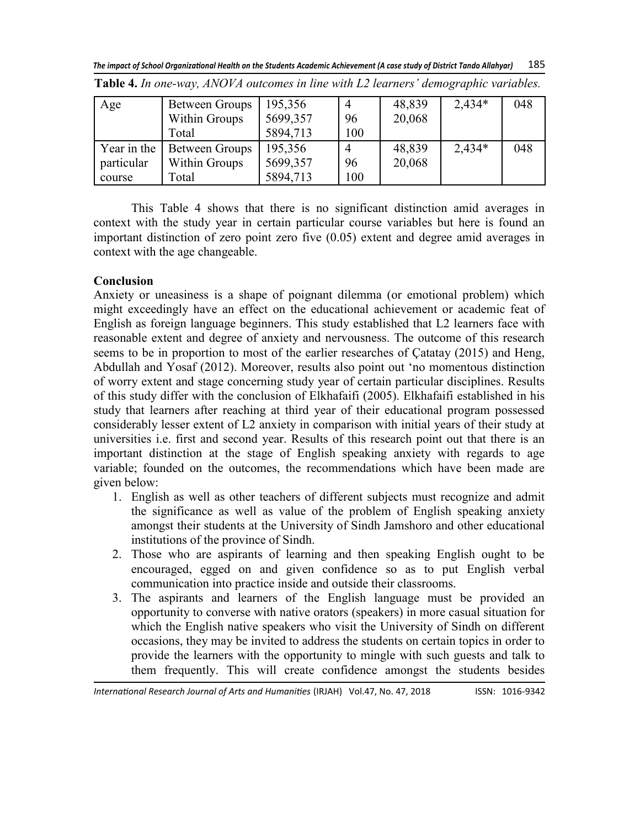*The impact of School Organizational Health on the Students Academic Achievement (A case study of District Tando Allahyar)* 185

| Age         | Between Groups | 195,356  | 4   | 48,839 | $2,434*$ | 048 |
|-------------|----------------|----------|-----|--------|----------|-----|
|             | Within Groups  | 5699,357 | 96  | 20,068 |          |     |
|             | Total          | 5894,713 | 100 |        |          |     |
| Year in the | Between Groups | 195,356  | 4   | 48,839 | 2,434*   | 048 |
| particular  | Within Groups  | 5699,357 | 96  | 20,068 |          |     |
| course      | Total          | 5894,713 | 100 |        |          |     |

**Table 4.** *In one-way, ANOVA outcomes in line with L2 learners' demographic variables.*

This Table 4 shows that there is no significant distinction amid averages in context with the study year in certain particular course variables but here is found an important distinction of zero point zero five (0.05) extent and degree amid averages in context with the age changeable.

### **Conclusion**

Anxiety or uneasiness is a shape of poignant dilemma (or emotional problem) which might exceedingly have an effect on the educational achievement or academic feat of English as foreign language beginners. This study established that L2 learners face with reasonable extent and degree of anxiety and nervousness. The outcome of this research seems to be in proportion to most of the earlier researches of Çatatay (2015) and Heng, Abdullah and Yosaf (2012). Moreover, results also point out 'no momentous distinction of worry extent and stage concerning study year of certain particular disciplines. Results of this study differ with the conclusion of Elkhafaifi (2005). Elkhafaifi established in his study that learners after reaching at third year of their educational program possessed considerably lesser extent of L2 anxiety in comparison with initial years of their study at universities i.e. first and second year. Results of this research point out that there is an important distinction at the stage of English speaking anxiety with regards to age variable; founded on the outcomes, the recommendations which have been made are given below:

- 1. English as well as other teachers of different subjects must recognize and admit the significance as well as value of the problem of English speaking anxiety amongst their students at the University of Sindh Jamshoro and other educational institutions of the province of Sindh.
- 2. Those who are aspirants of learning and then speaking English ought to be encouraged, egged on and given confidence so as to put English verbal communication into practice inside and outside their classrooms.
- 3. The aspirants and learners of the English language must be provided an opportunity to converse with native orators (speakers) in more casual situation for which the English native speakers who visit the University of Sindh on different occasions, they may be invited to address the students on certain topics in order to provide the learners with the opportunity to mingle with such guests and talk to them frequently. This will create confidence amongst the students besides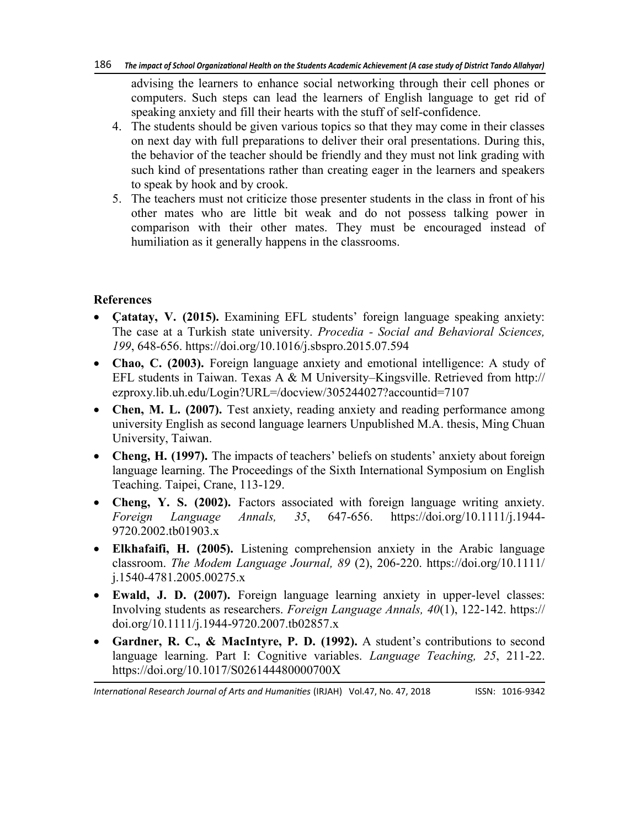#### 186 *The impact of School Organizational Health on the Students Academic Achievement (A case study of District Tando Allahyar)*

advising the learners to enhance social networking through their cell phones or computers. Such steps can lead the learners of English language to get rid of speaking anxiety and fill their hearts with the stuff of self-confidence.

- 4. The students should be given various topics so that they may come in their classes on next day with full preparations to deliver their oral presentations. During this, the behavior of the teacher should be friendly and they must not link grading with such kind of presentations rather than creating eager in the learners and speakers to speak by hook and by crook.
- 5. The teachers must not criticize those presenter students in the class in front of his other mates who are little bit weak and do not possess talking power in comparison with their other mates. They must be encouraged instead of humiliation as it generally happens in the classrooms.

### **References**

- **Çatatay, V. (2015).** Examining EFL students' foreign language speaking anxiety: The case at a Turkish state university. *Procedia - Social and Behavioral Sciences, 199*, 648-656. https://doi.org/10.1016/j.sbspro.2015.07.594
- **Chao, C. (2003).** Foreign language anxiety and emotional intelligence: A study of EFL students in Taiwan. Texas A & M University–Kingsville. Retrieved from http:// ezproxy.lib.uh.edu/Login?URL=/docview/305244027?accountid=7107
- Chen, M. L. (2007). Test anxiety, reading anxiety and reading performance among university English as second language learners Unpublished M.A. thesis, Ming Chuan University, Taiwan.
- Cheng, H. (1997). The impacts of teachers' beliefs on students' anxiety about foreign language learning. The Proceedings of the Sixth International Symposium on English Teaching. Taipei, Crane, 113-129.
- **Cheng, Y. S. (2002).** Factors associated with foreign language writing anxiety. *Foreign Language Annals, 35*, 647-656. https://doi.org/10.1111/j.1944- 9720.2002.tb01903.x
- **Elkhafaifi, H. (2005).** Listening comprehension anxiety in the Arabic language classroom. *The Modem Language Journal, 89* (2), 206-220. https://doi.org/10.1111/ j.1540-4781.2005.00275.x
- **Ewald, J. D. (2007).** Foreign language learning anxiety in upper-level classes: Involving students as researchers. *Foreign Language Annals, 40*(1), 122-142. https:// doi.org/10.1111/j.1944-9720.2007.tb02857.x
- **Gardner, R. C., & MacIntyre, P. D. (1992).** A student's contributions to second language learning. Part I: Cognitive variables. *Language Teaching, 25*, 211-22. https://doi.org/10.1017/S026144480000700X